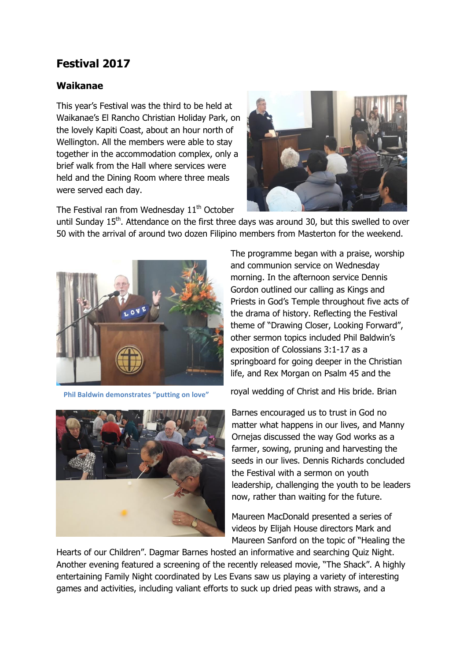## **Festival 2017**

## **Waikanae**

This year's Festival was the third to be held at Waikanae's El Rancho Christian Holiday Park, on the lovely Kapiti Coast, about an hour north of Wellington. All the members were able to stay together in the accommodation complex, only a brief walk from the Hall where services were held and the Dining Room where three meals were served each day.



The Festival ran from Wednesday  $11<sup>th</sup>$  October

until Sunday  $15<sup>th</sup>$ . Attendance on the first three days was around 30, but this swelled to over 50 with the arrival of around two dozen Filipino members from Masterton for the weekend.



**Phil Baldwin demonstrates "putting on love"**

The programme began with a praise, worship and communion service on Wednesday morning. In the afternoon service Dennis Gordon outlined our calling as Kings and Priests in God's Temple throughout five acts of the drama of history. Reflecting the Festival theme of "Drawing Closer, Looking Forward", other sermon topics included Phil Baldwin's exposition of Colossians 3:1-17 as a springboard for going deeper in the Christian life, and Rex Morgan on Psalm 45 and the

royal wedding of Christ and His bride. Brian

Barnes encouraged us to trust in God no matter what happens in our lives, and Manny Ornejas discussed the way God works as a farmer, sowing, pruning and harvesting the seeds in our lives. Dennis Richards concluded the Festival with a sermon on youth leadership, challenging the youth to be leaders now, rather than waiting for the future.

Maureen MacDonald presented a series of videos by Elijah House directors Mark and Maureen Sanford on the topic of "Healing the

Hearts of our Children". Dagmar Barnes hosted an informative and searching Quiz Night. Another evening featured a screening of the recently released movie, "The Shack". A highly entertaining Family Night coordinated by Les Evans saw us playing a variety of interesting games and activities, including valiant efforts to suck up dried peas with straws, and a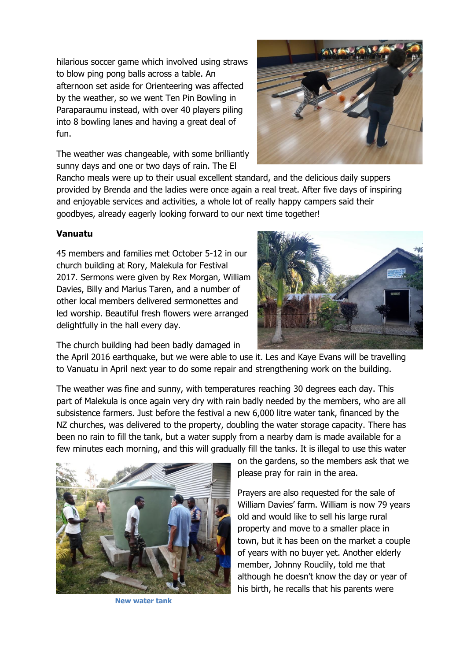hilarious soccer game which involved using straws to blow ping pong balls across a table. An afternoon set aside for Orienteering was affected by the weather, so we went Ten Pin Bowling in Paraparaumu instead, with over 40 players piling into 8 bowling lanes and having a great deal of fun.

The weather was changeable, with some brilliantly sunny days and one or two days of rain. The El



Rancho meals were up to their usual excellent standard, and the delicious daily suppers provided by Brenda and the ladies were once again a real treat. After five days of inspiring and enjoyable services and activities, a whole lot of really happy campers said their goodbyes, already eagerly looking forward to our next time together!

## **Vanuatu**

45 members and families met October 5-12 in our church building at Rory, Malekula for Festival 2017. Sermons were given by Rex Morgan, William Davies, Billy and Marius Taren, and a number of other local members delivered sermonettes and led worship. Beautiful fresh flowers were arranged delightfully in the hall every day.



The church building had been badly damaged in

the April 2016 earthquake, but we were able to use it. Les and Kaye Evans will be travelling to Vanuatu in April next year to do some repair and strengthening work on the building.

The weather was fine and sunny, with temperatures reaching 30 degrees each day. This part of Malekula is once again very dry with rain badly needed by the members, who are all subsistence farmers. Just before the festival a new 6,000 litre water tank, financed by the NZ churches, was delivered to the property, doubling the water storage capacity. There has been no rain to fill the tank, but a water supply from a nearby dam is made available for a few minutes each morning, and this will gradually fill the tanks. It is illegal to use this water



**New water tank**

on the gardens, so the members ask that we please pray for rain in the area.

Prayers are also requested for the sale of William Davies' farm. William is now 79 years old and would like to sell his large rural property and move to a smaller place in town, but it has been on the market a couple of years with no buyer yet. Another elderly member, Johnny Rouclily, told me that although he doesn't know the day or year of his birth, he recalls that his parents were